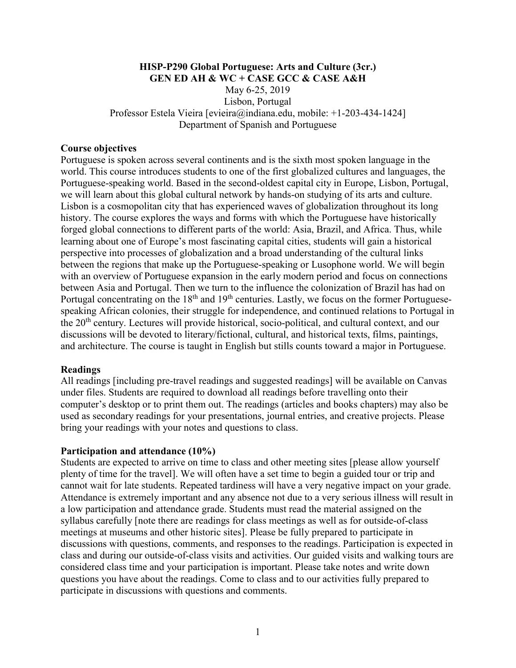## **HISP-P290 Global Portuguese: Arts and Culture (3cr.) GEN ED AH & WC + CASE GCC & CASE A&H** May 6-25, 2019 Lisbon, Portugal Professor Estela Vieira [evieira@indiana.edu, mobile: +1-203-434-1424] Department of Spanish and Portuguese

### **Course objectives**

Portuguese is spoken across several continents and is the sixth most spoken language in the world. This course introduces students to one of the first globalized cultures and languages, the Portuguese-speaking world. Based in the second-oldest capital city in Europe, Lisbon, Portugal, we will learn about this global cultural network by hands-on studying of its arts and culture. Lisbon is a cosmopolitan city that has experienced waves of globalization throughout its long history. The course explores the ways and forms with which the Portuguese have historically forged global connections to different parts of the world: Asia, Brazil, and Africa. Thus, while learning about one of Europe's most fascinating capital cities, students will gain a historical perspective into processes of globalization and a broad understanding of the cultural links between the regions that make up the Portuguese-speaking or Lusophone world. We will begin with an overview of Portuguese expansion in the early modern period and focus on connections between Asia and Portugal. Then we turn to the influence the colonization of Brazil has had on Portugal concentrating on the 18<sup>th</sup> and 19<sup>th</sup> centuries. Lastly, we focus on the former Portuguesespeaking African colonies, their struggle for independence, and continued relations to Portugal in the 20th century. Lectures will provide historical, socio-political, and cultural context, and our discussions will be devoted to literary/fictional, cultural, and historical texts, films, paintings, and architecture. The course is taught in English but stills counts toward a major in Portuguese.

#### **Readings**

All readings [including pre-travel readings and suggested readings] will be available on Canvas under files. Students are required to download all readings before travelling onto their computer's desktop or to print them out. The readings (articles and books chapters) may also be used as secondary readings for your presentations, journal entries, and creative projects. Please bring your readings with your notes and questions to class.

## **Participation and attendance (10%)**

Students are expected to arrive on time to class and other meeting sites [please allow yourself plenty of time for the travel]. We will often have a set time to begin a guided tour or trip and cannot wait for late students. Repeated tardiness will have a very negative impact on your grade. Attendance is extremely important and any absence not due to a very serious illness will result in a low participation and attendance grade. Students must read the material assigned on the syllabus carefully [note there are readings for class meetings as well as for outside-of-class meetings at museums and other historic sites]. Please be fully prepared to participate in discussions with questions, comments, and responses to the readings. Participation is expected in class and during our outside-of-class visits and activities. Our guided visits and walking tours are considered class time and your participation is important. Please take notes and write down questions you have about the readings. Come to class and to our activities fully prepared to participate in discussions with questions and comments.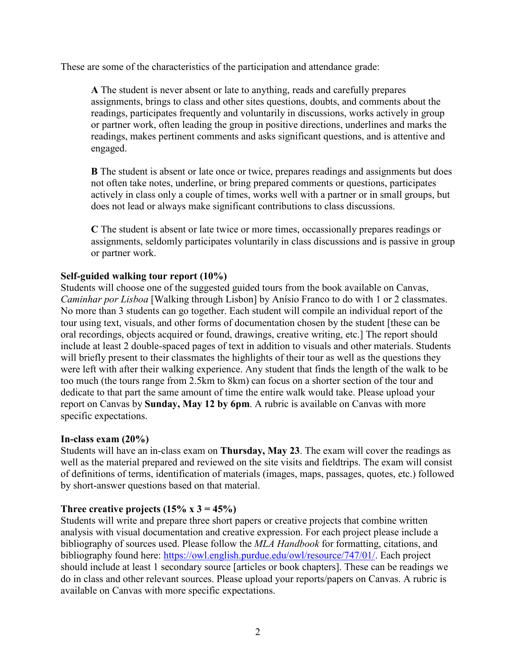These are some of the characteristics of the participation and attendance grade:

**A** The student is never absent or late to anything, reads and carefully prepares assignments, brings to class and other sites questions, doubts, and comments about the readings, participates frequently and voluntarily in discussions, works actively in group or partner work, often leading the group in positive directions, underlines and marks the readings, makes pertinent comments and asks significant questions, and is attentive and engaged.

**B** The student is absent or late once or twice, prepares readings and assignments but does not often take notes, underline, or bring prepared comments or questions, participates actively in class only a couple of times, works well with a partner or in small groups, but does not lead or always make significant contributions to class discussions.

**C** The student is absent or late twice or more times, occassionally prepares readings or assignments, seldomly participates voluntarily in class discussions and is passive in group or partner work.

## **Self-guided walking tour report (10%)**

Students will choose one of the suggested guided tours from the book available on Canvas, *Caminhar por Lisboa* [Walking through Lisbon] by Anísio Franco to do with 1 or 2 classmates. No more than 3 students can go together. Each student will compile an individual report of the tour using text, visuals, and other forms of documentation chosen by the student [these can be oral recordings, objects acquired or found, drawings, creative writing, etc.] The report should include at least 2 double-spaced pages of text in addition to visuals and other materials. Students will briefly present to their classmates the highlights of their tour as well as the questions they were left with after their walking experience. Any student that finds the length of the walk to be too much (the tours range from 2.5km to 8km) can focus on a shorter section of the tour and dedicate to that part the same amount of time the entire walk would take. Please upload your report on Canvas by **Sunday, May 12 by 6pm**. A rubric is available on Canvas with more specific expectations.

## **In-class exam (20%)**

Students will have an in-class exam on **Thursday, May 23**. The exam will cover the readings as well as the material prepared and reviewed on the site visits and fieldtrips. The exam will consist of definitions of terms, identification of materials (images, maps, passages, quotes, etc.) followed by short-answer questions based on that material.

# **Three creative projects**  $(15\% \text{ x } 3 = 45\%)$

Students will write and prepare three short papers or creative projects that combine written analysis with visual documentation and creative expression. For each project please include a bibliography of sources used. Please follow the *MLA Handbook* for formatting, citations, and bibliography found here: [https://owl.english.purdue.edu/owl/resource/747/01/.](https://owl.english.purdue.edu/owl/resource/747/01/) Each project should include at least 1 secondary source [articles or book chapters]. These can be readings we do in class and other relevant sources. Please upload your reports/papers on Canvas. A rubric is available on Canvas with more specific expectations.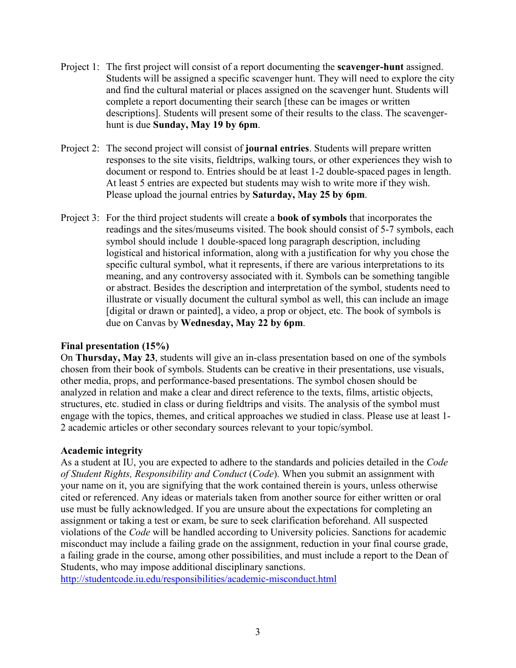- Project 1: The first project will consist of a report documenting the **scavenger-hunt** assigned. Students will be assigned a specific scavenger hunt. They will need to explore the city and find the cultural material or places assigned on the scavenger hunt. Students will complete a report documenting their search [these can be images or written descriptions]. Students will present some of their results to the class. The scavengerhunt is due **Sunday, May 19 by 6pm**.
- Project 2: The second project will consist of **journal entries**. Students will prepare written responses to the site visits, fieldtrips, walking tours, or other experiences they wish to document or respond to. Entries should be at least 1-2 double-spaced pages in length. At least 5 entries are expected but students may wish to write more if they wish. Please upload the journal entries by **Saturday, May 25 by 6pm**.
- Project 3: For the third project students will create a **book of symbols** that incorporates the readings and the sites/museums visited. The book should consist of 5-7 symbols, each symbol should include 1 double-spaced long paragraph description, including logistical and historical information, along with a justification for why you chose the specific cultural symbol, what it represents, if there are various interpretations to its meaning, and any controversy associated with it. Symbols can be something tangible or abstract. Besides the description and interpretation of the symbol, students need to illustrate or visually document the cultural symbol as well, this can include an image [digital or drawn or painted], a video, a prop or object, etc. The book of symbols is due on Canvas by **Wednesday, May 22 by 6pm**.

# **Final presentation (15%)**

On **Thursday, May 23**, students will give an in-class presentation based on one of the symbols chosen from their book of symbols. Students can be creative in their presentations, use visuals, other media, props, and performance-based presentations. The symbol chosen should be analyzed in relation and make a clear and direct reference to the texts, films, artistic objects, structures, etc. studied in class or during fieldtrips and visits. The analysis of the symbol must engage with the topics, themes, and critical approaches we studied in class. Please use at least 1- 2 academic articles or other secondary sources relevant to your topic/symbol.

## **Academic integrity**

As a student at IU, you are expected to adhere to the standards and policies detailed in the *Code of Student Rights, Responsibility and Conduct* (*Code*). When you submit an assignment with your name on it, you are signifying that the work contained therein is yours, unless otherwise cited or referenced. Any ideas or materials taken from another source for either written or oral use must be fully acknowledged. If you are unsure about the expectations for completing an assignment or taking a test or exam, be sure to seek clarification beforehand. All suspected violations of the *Code* will be handled according to University policies. Sanctions for academic misconduct may include a failing grade on the assignment, reduction in your final course grade, a failing grade in the course, among other possibilities, and must include a report to the Dean of Students, who may impose additional disciplinary sanctions.

<http://studentcode.iu.edu/responsibilities/academic-misconduct.html>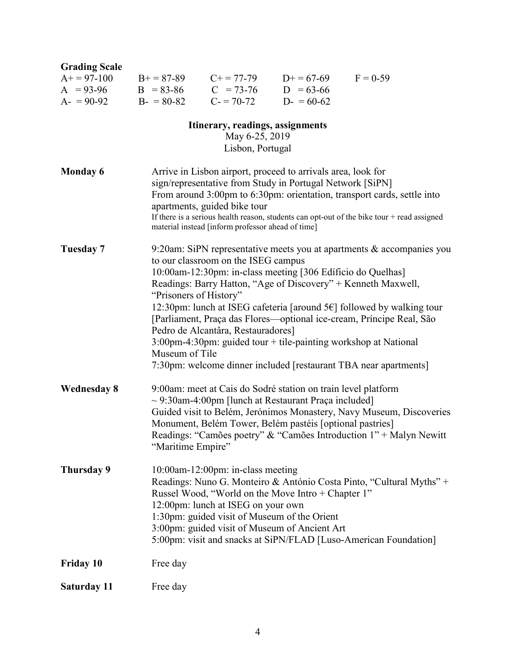| <b>Grading Scale</b>                    |                                                                                                                                                                                                                                                                                                                                                                                                                                                                                                                                                                                                                                    |                                                                        |                                  |            |
|-----------------------------------------|------------------------------------------------------------------------------------------------------------------------------------------------------------------------------------------------------------------------------------------------------------------------------------------------------------------------------------------------------------------------------------------------------------------------------------------------------------------------------------------------------------------------------------------------------------------------------------------------------------------------------------|------------------------------------------------------------------------|----------------------------------|------------|
| $A+=97-100$                             |                                                                                                                                                                                                                                                                                                                                                                                                                                                                                                                                                                                                                                    |                                                                        | $B+=87-89$ $C+=77-79$ $D+=67-69$ | $F = 0-59$ |
| A = 93-96 B = 83-86 C = 73-76 D = 63-66 |                                                                                                                                                                                                                                                                                                                                                                                                                                                                                                                                                                                                                                    |                                                                        |                                  |            |
| $A = 90-92$                             |                                                                                                                                                                                                                                                                                                                                                                                                                                                                                                                                                                                                                                    | $B = 80-82$ $C = 70-72$ $D = 60-62$                                    |                                  |            |
|                                         |                                                                                                                                                                                                                                                                                                                                                                                                                                                                                                                                                                                                                                    | Itinerary, readings, assignments<br>May 6-25, 2019<br>Lisbon, Portugal |                                  |            |
| <b>Monday 6</b>                         | Arrive in Lisbon airport, proceed to arrivals area, look for<br>sign/representative from Study in Portugal Network [SiPN]<br>From around 3:00pm to 6:30pm: orientation, transport cards, settle into<br>apartments, guided bike tour<br>If there is a serious health reason, students can opt-out of the bike tour $+$ read assigned<br>material instead [inform professor ahead of time]                                                                                                                                                                                                                                          |                                                                        |                                  |            |
| Tuesday 7                               | 9:20am: SiPN representative meets you at apartments $\&$ accompanies you<br>to our classroom on the ISEG campus<br>10:00am-12:30pm: in-class meeting [306 Edificio do Quelhas]<br>Readings: Barry Hatton, "Age of Discovery" + Kenneth Maxwell,<br>"Prisoners of History"<br>12:30pm: lunch at ISEG cafeteria [around $5 \in$ ] followed by walking tour<br>[Parliament, Praça das Flores—optional ice-cream, Príncipe Real, São<br>Pedro de Alcantâra, Restauradores]<br>$3:00$ pm-4:30pm: guided tour + tile-painting workshop at National<br>Museum of Tile<br>7:30pm: welcome dinner included [restaurant TBA near apartments] |                                                                        |                                  |            |
| <b>Wednesday 8</b>                      | 9:00am: meet at Cais do Sodré station on train level platform<br>$\sim$ 9:30am-4:00pm [lunch at Restaurant Praça included]<br>Guided visit to Belém, Jerónimos Monastery, Navy Museum, Discoveries<br>Monument, Belém Tower, Belém pastéis [optional pastries]<br>Readings: "Camões poetry" & "Camões Introduction $1"$ + Malyn Newitt<br>"Maritime Empire"                                                                                                                                                                                                                                                                        |                                                                        |                                  |            |
| Thursday 9                              | 10:00am-12:00pm: in-class meeting<br>Readings: Nuno G. Monteiro & António Costa Pinto, "Cultural Myths" +<br>Russel Wood, "World on the Move Intro + Chapter 1"<br>12:00pm: lunch at ISEG on your own<br>1:30pm: guided visit of Museum of the Orient<br>3:00pm: guided visit of Museum of Ancient Art<br>5:00pm: visit and snacks at SiPN/FLAD [Luso-American Foundation]                                                                                                                                                                                                                                                         |                                                                        |                                  |            |
| <b>Friday 10</b>                        | Free day                                                                                                                                                                                                                                                                                                                                                                                                                                                                                                                                                                                                                           |                                                                        |                                  |            |
| <b>Saturday 11</b>                      | Free day                                                                                                                                                                                                                                                                                                                                                                                                                                                                                                                                                                                                                           |                                                                        |                                  |            |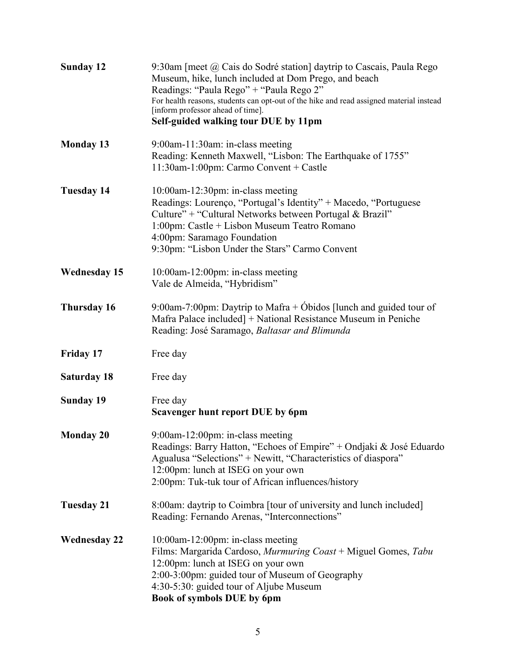| <b>Sunday 12</b>    | 9:30am [meet @ Cais do Sodré station] daytrip to Cascais, Paula Rego<br>Museum, hike, lunch included at Dom Prego, and beach<br>Readings: "Paula Rego" + "Paula Rego 2"<br>For health reasons, students can opt-out of the hike and read assigned material instead<br>[inform professor ahead of time].<br>Self-guided walking tour DUE by 11pm |  |  |
|---------------------|-------------------------------------------------------------------------------------------------------------------------------------------------------------------------------------------------------------------------------------------------------------------------------------------------------------------------------------------------|--|--|
| <b>Monday 13</b>    | 9:00am-11:30am: in-class meeting<br>Reading: Kenneth Maxwell, "Lisbon: The Earthquake of 1755"<br>$11:30$ am-1:00pm: Carmo Convent + Castle                                                                                                                                                                                                     |  |  |
| <b>Tuesday 14</b>   | 10:00am-12:30pm: in-class meeting<br>Readings: Lourenço, "Portugal's Identity" + Macedo, "Portuguese<br>Culture" + "Cultural Networks between Portugal & Brazil"<br>1:00pm: Castle + Lisbon Museum Teatro Romano<br>4:00pm: Saramago Foundation<br>9:30pm: "Lisbon Under the Stars" Carmo Convent                                               |  |  |
| <b>Wednesday 15</b> | 10:00am-12:00pm: in-class meeting<br>Vale de Almeida, "Hybridism"                                                                                                                                                                                                                                                                               |  |  |
| Thursday 16         | 9:00am-7:00pm: Daytrip to Mafra + Obidos [lunch and guided tour of<br>Mafra Palace included] + National Resistance Museum in Peniche<br>Reading: José Saramago, Baltasar and Blimunda                                                                                                                                                           |  |  |
| <b>Friday 17</b>    | Free day                                                                                                                                                                                                                                                                                                                                        |  |  |
| <b>Saturday 18</b>  | Free day                                                                                                                                                                                                                                                                                                                                        |  |  |
| <b>Sunday 19</b>    | Free day<br>Scavenger hunt report DUE by 6pm                                                                                                                                                                                                                                                                                                    |  |  |
| <b>Monday 20</b>    | 9:00am-12:00pm: in-class meeting<br>Readings: Barry Hatton, "Echoes of Empire" + Ondjaki & José Eduardo<br>Agualusa "Selections" + Newitt, "Characteristics of diaspora"<br>12:00pm: lunch at ISEG on your own<br>2:00pm: Tuk-tuk tour of African influences/history                                                                            |  |  |
| <b>Tuesday 21</b>   | 8:00am: daytrip to Coimbra [tour of university and lunch included]<br>Reading: Fernando Arenas, "Interconnections"                                                                                                                                                                                                                              |  |  |
| <b>Wednesday 22</b> | 10:00am-12:00pm: in-class meeting<br>Films: Margarida Cardoso, Murmuring Coast + Miguel Gomes, Tabu<br>12:00pm: lunch at ISEG on your own<br>2:00-3:00pm: guided tour of Museum of Geography<br>4:30-5:30: guided tour of Aljube Museum<br><b>Book of symbols DUE by 6pm</b>                                                                    |  |  |